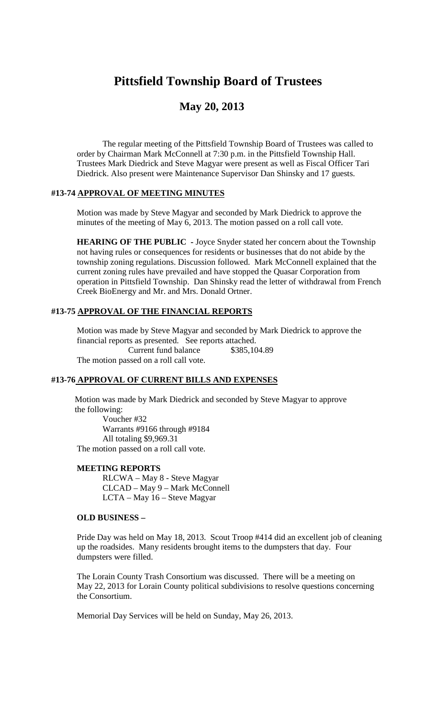# **Pittsfield Township Board of Trustees**

# **May 20, 2013**

The regular meeting of the Pittsfield Township Board of Trustees was called to order by Chairman Mark McConnell at 7:30 p.m. in the Pittsfield Township Hall. Trustees Mark Diedrick and Steve Magyar were present as well as Fiscal Officer Tari Diedrick. Also present were Maintenance Supervisor Dan Shinsky and 17 guests.

## **#13-74 APPROVAL OF MEETING MINUTES**

Motion was made by Steve Magyar and seconded by Mark Diedrick to approve the minutes of the meeting of May 6, 2013. The motion passed on a roll call vote.

**HEARING OF THE PUBLIC -** Joyce Snyder stated her concern about the Township not having rules or consequences for residents or businesses that do not abide by the township zoning regulations. Discussion followed. Mark McConnell explained that the current zoning rules have prevailed and have stopped the Quasar Corporation from operation in Pittsfield Township. Dan Shinsky read the letter of withdrawal from French Creek BioEnergy and Mr. and Mrs. Donald Ortner.

#### **#13-75 APPROVAL OF THE FINANCIAL REPORTS**

Motion was made by Steve Magyar and seconded by Mark Diedrick to approve the financial reports as presented. See reports attached. Current fund balance \$385,104.89 The motion passed on a roll call vote.

#### **#13-76 APPROVAL OF CURRENT BILLS AND EXPENSES**

Motion was made by Mark Diedrick and seconded by Steve Magyar to approve the following:

Voucher #32 Warrants #9166 through #9184 All totaling \$9,969.31 The motion passed on a roll call vote.

#### **MEETING REPORTS**

RLCWA – May 8 - Steve Magyar CLCAD – May 9 – Mark McConnell LCTA – May 16 – Steve Magyar

#### **OLD BUSINESS –**

Pride Day was held on May 18, 2013. Scout Troop #414 did an excellent job of cleaning up the roadsides. Many residents brought items to the dumpsters that day. Four dumpsters were filled.

The Lorain County Trash Consortium was discussed. There will be a meeting on May 22, 2013 for Lorain County political subdivisions to resolve questions concerning the Consortium.

Memorial Day Services will be held on Sunday, May 26, 2013.